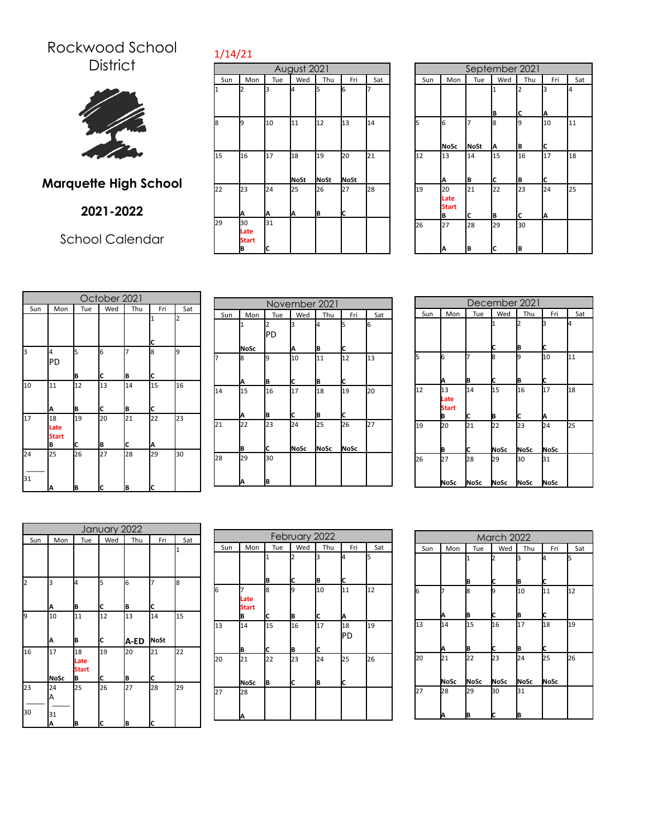## Rockwood School **District**



## **Marquette High School**

## **2021-2022**

School Calendar

|     | August 2021                     |         |                   |                   |            |     |  |  |
|-----|---------------------------------|---------|-------------------|-------------------|------------|-----|--|--|
| Sun | Mon                             | Tue     | Wed               | Thu               | Fri        | Sat |  |  |
|     | 2                               | k       | 4                 | 5                 | 6          | 7   |  |  |
| 8   | 9                               | 10      | 11                | 12                | 13         | 14  |  |  |
| 15  | 16                              | 17      | 18<br><b>NoSt</b> | 19<br><b>NoSt</b> | 20<br>NoSt | 21  |  |  |
| 22  | 23<br>Α                         | 24<br>А | 25<br>A           | 26<br> B          | 27<br>Iс   | 28  |  |  |
| 29  | 30<br>Late<br><b>Start</b><br>B | 31<br>C |                   |                   |            |     |  |  |

1/14/21

|     | September 2021                  |                  |                   |                     |         |     |
|-----|---------------------------------|------------------|-------------------|---------------------|---------|-----|
| Sun | Mon                             | Tue              | Wed               | Thu                 | Fri     | Sat |
|     |                                 |                  | $\mathbf{1}$<br>B | $\overline{2}$<br>C | 3<br>A  | 4   |
| 5   | 6<br><b>NoSc</b>                | 7<br><b>NoSt</b> | 8<br>А            | 9<br>В              | 10<br>C | 11  |
| 12  | 13<br>A                         | 14<br>B          | 15<br>C           | 16<br>B             | 17<br>C | 18  |
| 19  | 20<br>Late<br><b>Start</b><br>В | 21<br>C          | 22<br>B           | 23<br>C             | 24<br>A | 25  |
| 26  | 27<br>А                         | 28<br>В          | 29<br>C           | 30<br>B             |         |     |

|          | October 2021                    |         |          |         |         |     |
|----------|---------------------------------|---------|----------|---------|---------|-----|
| Sun      | Mon                             | Tue     | Wed      | Thu     | Fri     | Sat |
|          |                                 |         |          |         | 1<br>c  | 2   |
| 3        | 4<br>PD                         | 5<br>B  | 6<br>C   | 7<br>B  | 8<br>C  | 9   |
| 10       | 11<br>A                         | 12<br>B | 13<br>ІC | 14<br>B | 15<br>c | 16  |
| 17       | 18<br>Late<br><b>Start</b><br>B | 19<br>C | 20<br>B  | 21<br>c | 22<br>A | 23  |
| 24<br>31 | 25                              | 26      | 27       | 28      | 29      | 30  |
|          | A                               | B       | Iс       | B       | c       |     |

|     | November 2021 |     |      |      |      |     |  |  |
|-----|---------------|-----|------|------|------|-----|--|--|
| Sun | Mon           | Tue | Wed  | Thu  | Fri  | Sat |  |  |
|     |               | 2   | З    | 4    | 5    | 6   |  |  |
|     |               | PD  |      |      |      |     |  |  |
|     | <b>NoSc</b>   |     | Α    | B    | C    |     |  |  |
| 7   | 8             | 9   | 10   | 11   | 12   | 13  |  |  |
|     |               |     |      |      |      |     |  |  |
|     | Α             | B   | C    | B    | C    |     |  |  |
| 14  | 15            | 16  | 17   | 18   | 19   | 20  |  |  |
|     |               |     |      |      |      |     |  |  |
|     | Α             | B   | C    | B    | C    |     |  |  |
| 21  | 22            | 23  | 24   | 25   | 26   | 27  |  |  |
|     |               |     |      |      |      |     |  |  |
|     | B             | C   | NoSc | NoSc | NoSc |     |  |  |
| 28  | 29            | 30  |      |      |      |     |  |  |
|     |               |     |      |      |      |     |  |  |
|     | Α             | B   |      |      |      |     |  |  |

|     | December 2021                   |            |                   |                   |                   |    |  |  |
|-----|---------------------------------|------------|-------------------|-------------------|-------------------|----|--|--|
| Sun | Wed<br>Thu<br>Mon<br>Tue<br>Fri |            |                   |                   |                   |    |  |  |
|     |                                 |            | 1<br>C            | 2<br>B            | з<br>C            | l4 |  |  |
| l5  | 16<br>Α                         | 7<br>B     | l8<br>С           | 9<br>B            | 10<br>C           | 11 |  |  |
| 12  | 13<br>Late<br><b>Start</b><br>В | 14<br>С    | 15<br>B           | 16<br>C           | 17<br>А           | 18 |  |  |
| 19  | 20<br>B                         | 21<br>С    | 22<br><b>NoSc</b> | 23<br><b>NoSc</b> | 24<br><b>NoSc</b> | 25 |  |  |
| 26  | 27<br>NoSc                      | 28<br>NoSc | 29<br>NoSc        | 30<br>NoSc        | 31<br>NoSc        |    |  |  |

| January 2022 |             |                            |     |      |      |     |
|--------------|-------------|----------------------------|-----|------|------|-----|
| Sun          | Mon         | Tue                        | Wed | Thu  | Fri  | Sat |
|              |             |                            |     |      |      | 1   |
| 2            | 3           | 4                          | 5   | 6    |      | 8   |
|              | A           | B                          | c   | B    | c    |     |
| 9            | 10          | 11                         | 12  | 13   | 14   | 15  |
|              | Α           | B                          | c   | A-ED | NoSt |     |
| 16           | 17          | 18<br>Late<br><b>Start</b> | 19  | 20   | 21   | 22  |
|              | <b>NoSc</b> | B                          | C   | B    | c    |     |
| 23           | 24<br>А     | 25                         | 26  | 27   | 28   | 29  |
| 30           | 31<br>A     | B                          | C   | B    | c    |     |

|     | February 2022             |             |             |              |              |     |
|-----|---------------------------|-------------|-------------|--------------|--------------|-----|
| Sun | Mon                       | Tue         | Wed         | Thu          | Fri          | Sat |
|     |                           | 1           | 2           | 3            | 4            | 5   |
| 6   | Late<br><b>Start</b><br>B | B<br>8<br>С | C<br>9<br>B | B<br>10<br>C | С<br>11<br>Α | 12  |
| 13  | 14<br>B                   | 15<br>C     | 16<br>B     | 17<br>c      | 18<br>PD     | 19  |
| 20  | 21<br>NoSc                | 22<br>B     | 23<br>Ic    | 24<br>B      | 25<br>c      | 26  |
| 27  | 28<br>Α                   |             |             |              |              |     |

|     | March 2022 |                   |            |                   |                   |     |  |  |
|-----|------------|-------------------|------------|-------------------|-------------------|-----|--|--|
| Sun | Mon        | Tue               | Wed        | Thu               | Fri               | Sat |  |  |
|     |            | 1<br>B            | 12<br>C    | з<br>B            | I4<br>c           | 5   |  |  |
| 6   | Α          | 8<br>B            | 9<br>С     | 10<br>Β           | 11<br>C           | 12  |  |  |
| 13  | 14<br>A    | 15<br>B           | 16<br>C    | 17<br>B           | 18<br>C           | 19  |  |  |
| 20  | 21<br>NoSc | 22<br><b>NoSc</b> | 23<br>NoSc | 24<br><b>NoSc</b> | 25<br><b>NoSc</b> | 26  |  |  |
| 27  | 28<br>А    | 29<br>B           | 30<br>IC   | 31<br>B           |                   |     |  |  |